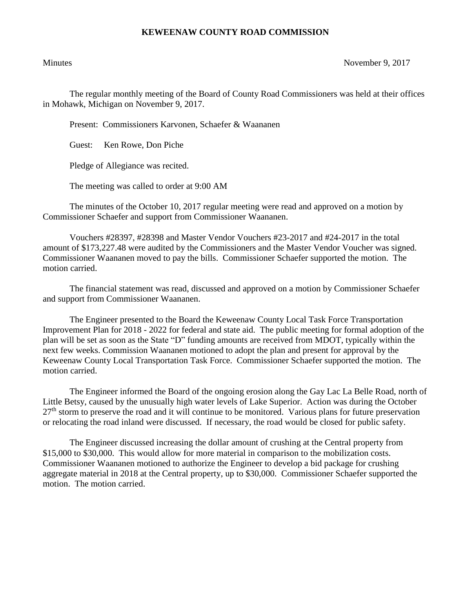## **KEWEENAW COUNTY ROAD COMMISSION**

Minutes November 9, 2017

The regular monthly meeting of the Board of County Road Commissioners was held at their offices in Mohawk, Michigan on November 9, 2017.

Present: Commissioners Karvonen, Schaefer & Waananen

Guest: Ken Rowe, Don Piche

Pledge of Allegiance was recited.

The meeting was called to order at 9:00 AM

The minutes of the October 10, 2017 regular meeting were read and approved on a motion by Commissioner Schaefer and support from Commissioner Waananen.

Vouchers #28397, #28398 and Master Vendor Vouchers #23-2017 and #24-2017 in the total amount of \$173,227.48 were audited by the Commissioners and the Master Vendor Voucher was signed. Commissioner Waananen moved to pay the bills. Commissioner Schaefer supported the motion. The motion carried.

The financial statement was read, discussed and approved on a motion by Commissioner Schaefer and support from Commissioner Waananen.

The Engineer presented to the Board the Keweenaw County Local Task Force Transportation Improvement Plan for 2018 - 2022 for federal and state aid. The public meeting for formal adoption of the plan will be set as soon as the State "D" funding amounts are received from MDOT, typically within the next few weeks. Commission Waananen motioned to adopt the plan and present for approval by the Keweenaw County Local Transportation Task Force. Commissioner Schaefer supported the motion. The motion carried.

The Engineer informed the Board of the ongoing erosion along the Gay Lac La Belle Road, north of Little Betsy, caused by the unusually high water levels of Lake Superior. Action was during the October  $27<sup>th</sup>$  storm to preserve the road and it will continue to be monitored. Various plans for future preservation or relocating the road inland were discussed. If necessary, the road would be closed for public safety.

The Engineer discussed increasing the dollar amount of crushing at the Central property from \$15,000 to \$30,000. This would allow for more material in comparison to the mobilization costs. Commissioner Waananen motioned to authorize the Engineer to develop a bid package for crushing aggregate material in 2018 at the Central property, up to \$30,000. Commissioner Schaefer supported the motion. The motion carried.